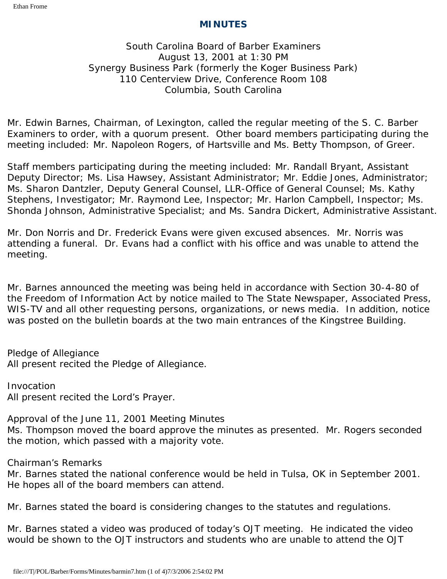## **MINUTES**

# South Carolina Board of Barber Examiners August 13, 2001 at 1:30 PM Synergy Business Park (formerly the Koger Business Park) 110 Centerview Drive, Conference Room 108 Columbia, South Carolina

Mr. Edwin Barnes, Chairman, of Lexington, called the regular meeting of the S. C. Barber Examiners to order, with a quorum present. Other board members participating during the meeting included: Mr. Napoleon Rogers, of Hartsville and Ms. Betty Thompson, of Greer.

Staff members participating during the meeting included: Mr. Randall Bryant, Assistant Deputy Director; Ms. Lisa Hawsey, Assistant Administrator; Mr. Eddie Jones, Administrator; Ms. Sharon Dantzler, Deputy General Counsel, LLR-Office of General Counsel; Ms. Kathy Stephens, Investigator; Mr. Raymond Lee, Inspector; Mr. Harlon Campbell, Inspector; Ms. Shonda Johnson, Administrative Specialist; and Ms. Sandra Dickert, Administrative Assistant.

Mr. Don Norris and Dr. Frederick Evans were given excused absences. Mr. Norris was attending a funeral. Dr. Evans had a conflict with his office and was unable to attend the meeting.

Mr. Barnes announced the meeting was being held in accordance with Section 30-4-80 of the Freedom of Information Act by notice mailed to The State Newspaper, Associated Press, WIS-TV and all other requesting persons, organizations, or news media. In addition, notice was posted on the bulletin boards at the two main entrances of the Kingstree Building.

Pledge of Allegiance All present recited the Pledge of Allegiance.

Invocation All present recited the Lord's Prayer.

Approval of the June 11, 2001 Meeting Minutes Ms. Thompson moved the board approve the minutes as presented. Mr. Rogers seconded the motion, which passed with a majority vote.

Chairman's Remarks

Mr. Barnes stated the national conference would be held in Tulsa, OK in September 2001. He hopes all of the board members can attend.

Mr. Barnes stated the board is considering changes to the statutes and regulations.

Mr. Barnes stated a video was produced of today's OJT meeting. He indicated the video would be shown to the OJT instructors and students who are unable to attend the OJT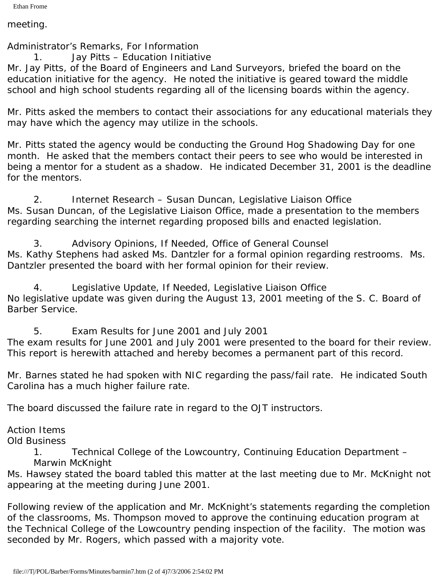meeting.

Administrator's Remarks, For Information

1. Jay Pitts – Education Initiative

Mr. Jay Pitts, of the Board of Engineers and Land Surveyors, briefed the board on the education initiative for the agency. He noted the initiative is geared toward the middle school and high school students regarding all of the licensing boards within the agency.

Mr. Pitts asked the members to contact their associations for any educational materials they may have which the agency may utilize in the schools.

Mr. Pitts stated the agency would be conducting the Ground Hog Shadowing Day for one month. He asked that the members contact their peers to see who would be interested in being a mentor for a student as a shadow. He indicated December 31, 2001 is the deadline for the mentors.

2. Internet Research – Susan Duncan, Legislative Liaison Office Ms. Susan Duncan, of the Legislative Liaison Office, made a presentation to the members regarding searching the internet regarding proposed bills and enacted legislation.

3. Advisory Opinions, If Needed, Office of General Counsel Ms. Kathy Stephens had asked Ms. Dantzler for a formal opinion regarding restrooms. Ms. Dantzler presented the board with her formal opinion for their review.

4. Legislative Update, If Needed, Legislative Liaison Office No legislative update was given during the August 13, 2001 meeting of the S. C. Board of Barber Service.

5. Exam Results for June 2001 and July 2001

The exam results for June 2001 and July 2001 were presented to the board for their review. This report is herewith attached and hereby becomes a permanent part of this record.

Mr. Barnes stated he had spoken with NIC regarding the pass/fail rate. He indicated South Carolina has a much higher failure rate.

The board discussed the failure rate in regard to the OJT instructors.

Action Items

Old Business

1. Technical College of the Lowcountry, Continuing Education Department – Marwin McKnight

Ms. Hawsey stated the board tabled this matter at the last meeting due to Mr. McKnight not appearing at the meeting during June 2001.

Following review of the application and Mr. McKnight's statements regarding the completion of the classrooms, Ms. Thompson moved to approve the continuing education program at the Technical College of the Lowcountry pending inspection of the facility. The motion was seconded by Mr. Rogers, which passed with a majority vote.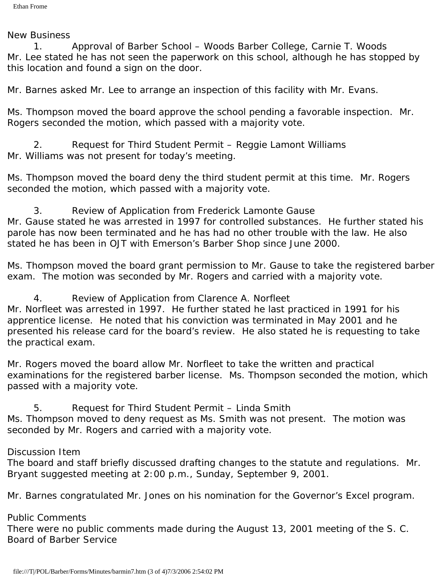#### New Business

1. Approval of Barber School – Woods Barber College, Carnie T. Woods Mr. Lee stated he has not seen the paperwork on this school, although he has stopped by this location and found a sign on the door.

Mr. Barnes asked Mr. Lee to arrange an inspection of this facility with Mr. Evans.

Ms. Thompson moved the board approve the school pending a favorable inspection. Mr. Rogers seconded the motion, which passed with a majority vote.

2. Request for Third Student Permit – Reggie Lamont Williams Mr. Williams was not present for today's meeting.

Ms. Thompson moved the board deny the third student permit at this time. Mr. Rogers seconded the motion, which passed with a majority vote.

3. Review of Application from Frederick Lamonte Gause Mr. Gause stated he was arrested in 1997 for controlled substances. He further stated his parole has now been terminated and he has had no other trouble with the law. He also stated he has been in OJT with Emerson's Barber Shop since June 2000.

Ms. Thompson moved the board grant permission to Mr. Gause to take the registered barber exam. The motion was seconded by Mr. Rogers and carried with a majority vote.

4. Review of Application from Clarence A. Norfleet Mr. Norfleet was arrested in 1997. He further stated he last practiced in 1991 for his apprentice license. He noted that his conviction was terminated in May 2001 and he presented his release card for the board's review. He also stated he is requesting to take the practical exam.

Mr. Rogers moved the board allow Mr. Norfleet to take the written and practical examinations for the registered barber license. Ms. Thompson seconded the motion, which passed with a majority vote.

5. Request for Third Student Permit – Linda Smith Ms. Thompson moved to deny request as Ms. Smith was not present. The motion was seconded by Mr. Rogers and carried with a majority vote.

## Discussion Item

The board and staff briefly discussed drafting changes to the statute and regulations. Mr. Bryant suggested meeting at 2:00 p.m., Sunday, September 9, 2001.

Mr. Barnes congratulated Mr. Jones on his nomination for the Governor's Excel program.

## Public Comments

There were no public comments made during the August 13, 2001 meeting of the S. C. Board of Barber Service